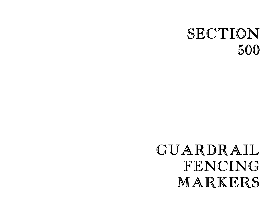# SECTION 500

# GUARDRAIL FENCING MARKERS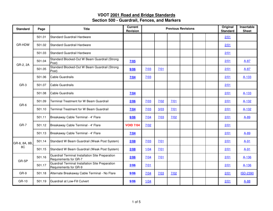| <b>Standard</b> | Page   | <b>Title</b>                                                              | <b>Current</b><br>Revision |      | <b>Previous Revisions</b> | Original<br><b>Standard</b> | Insertable<br><b>Sheet</b> |      |                 |
|-----------------|--------|---------------------------------------------------------------------------|----------------------------|------|---------------------------|-----------------------------|----------------------------|------|-----------------|
|                 | 501.01 | Standard Guardrail Hardware                                               |                            |      |                           |                             |                            | 2/01 |                 |
| GR-HDW          | 501.02 | Standard Guardrail Hardware                                               |                            |      |                           |                             |                            | 2/01 |                 |
|                 | 501.03 | Standard Guardrail Hardware                                               |                            |      |                           |                             |                            | 2/01 |                 |
| GR-2, 2A        | 501.04 | Standard Blocked-Out W Beam Guardrail (Strong<br>Post)                    | 7/05                       |      |                           |                             |                            | 2/01 | $A-87$          |
|                 | 501.05 | Standard Blocked-Out W Beam Guardrail (Strong<br>Post)                    | 9/06                       | 7/03 | 7/01                      |                             |                            | 2/01 | $A-87$          |
|                 | 501.06 | <b>Cable Guardrails</b>                                                   | 7/04                       | 7/03 |                           |                             |                            | 2/01 | A-133           |
| GR-3            | 501.07 | Cable Guardrails                                                          |                            |      |                           |                             |                            | 2/01 |                 |
|                 | 501.08 | <b>Cable Guardrails</b>                                                   | 7/04                       |      |                           |                             |                            | 2/01 | A-133           |
| GR-6            | 501.09 | Terminal Treatment for W Beam Guardrail                                   | 2/06                       | 7/03 | 7/02                      | 7/01                        |                            | 2/01 | A-132           |
|                 | 501.10 | Terminal Treatment for W Beam Guardrail                                   | 7/04                       | 7/03 | 3/03                      | 7/01                        |                            | 2/01 | A-132           |
|                 | 501.11 | Breakaway Cable Terminal - 4' Flare                                       | 9/06                       | 7/04 | 7/03                      | 7/02                        |                            | 2/01 | $A-89$          |
| GR-7            | 501.12 | Breakaway Cable Terminal - 4' Flare                                       | <b>VOID 7/04</b>           | 7/02 |                           |                             |                            | 2/01 |                 |
|                 | 501.13 | Breakaway Cable Terminal - 4' Flare                                       | 7/04                       |      |                           |                             |                            | 2/01 | A-89            |
| GR-8, 8A, 8B,   | 501.14 | Standard W Beam Guardrail (Weak Post System)                              | 2/08                       | 7/03 | 7/01                      |                             |                            | 2/01 | $A-91$          |
| 8C              | 501.15 | Standard W Beam Guardrail (Weak Post System)                              | 2/08                       | 1/04 | 7/01                      |                             |                            | 2/01 | $A-91$          |
|                 | 501.16 | Guardrail Terminal Installation Site Preparation<br>Requirements for GR-7 | 2/06                       | 7/04 | 7/01                      |                             |                            | 2/01 | A-136           |
| GR-SP           | 501.17 | Guardrail Terminal Installation Site Preparation<br>Requirements for GR-9 | 2/06                       | 7/01 |                           |                             |                            | 2/01 | A-136           |
| GR-9            | 501.18 | Alternate Breakaway Cable Terminal - No Flare                             | 9/06                       | 7/04 | 7/03                      | 7/02                        |                            | 2/01 | <b>ISD-2390</b> |
| GR-10           | 501.19 | Guardrail at Low-Fill Culvert                                             | 9/06                       | 1/04 |                           |                             |                            | 2/01 | $A-88$          |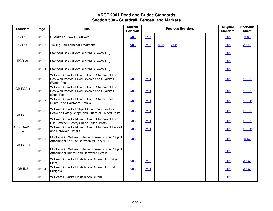| <b>Standard</b>            | Page   | <b>Title</b>                                                                                                  | <b>Current</b><br><b>Revision</b> |      | <b>Previous Revisions</b> | Original<br><b>Standard</b> | Insertable<br><b>Sheet</b> |      |              |
|----------------------------|--------|---------------------------------------------------------------------------------------------------------------|-----------------------------------|------|---------------------------|-----------------------------|----------------------------|------|--------------|
| GR-10                      | 501.20 | Guardrail at Low-Fill Culvert                                                                                 | 9/06                              | 1/04 |                           |                             |                            | 2/01 | $A-88$       |
| GR-11                      | 501.21 | <b>Trailing End Terminal Treatment</b>                                                                        | 7/05                              | 7/03 | 3/03                      | 7/02                        |                            | 2/01 | $A-145$      |
| <b>BGR-01</b>              | 501.22 | Standard Box Culvert Guardrail (Texas T-6)                                                                    |                                   |      |                           |                             |                            | 2/01 |              |
|                            | 501.23 | Standard Box Culvert Guardrail (Texas T-6)                                                                    |                                   |      |                           |                             |                            | 2/01 |              |
|                            | 501.24 | Standard Box Culvert Guardrail (Texas T-6)                                                                    |                                   |      |                           |                             |                            | 2/01 |              |
|                            | 501.25 | W Beam Guardrail-Fixed Object Attachment For<br>Use With Vertical Fixed Objects and Guardrail<br>(Wood Post)  | 9/06                              | 7/01 |                           |                             |                            | 2/01 | $A - 65 - 1$ |
| GR-FOA-1                   | 501.26 | W Beam Guardrail-Fixed Object Attachment For<br>Use With Vertical Fixed Objects and Guardrail<br>(Steel Post) | 9/06                              | 7/01 |                           |                             |                            | 2/01 | $A-65-1$     |
|                            | 501.27 | W Beam Guardrail-Fixed Object Attachement<br>Rubrail and Hardware Details                                     | 9/06                              | 7/01 |                           |                             |                            | 2/01 | $A-65-2$     |
| GR-FOA-2                   | 501.28 | W Beam Guardrail Object Attachment For Use<br>Between Safety Shape and Guardrail (Wood Posts)                 | 9/06                              | 7/01 |                           |                             |                            | 2/01 | $A-66-1$     |
|                            | 501.29 | W Beam Guardrail-Fixed Object Attachment For<br>Use Between Safety Shape - Steel Posts                        | 9/06                              | 7/01 |                           |                             |                            | 2/01 | $A-66-1$     |
| <b>GR-FOA-2 &amp;</b><br>4 | 501.30 | W Beam Guardrail-Fixed Object Attachment Rubrail<br>and Hardware Details                                      | 9/06                              | 7/01 |                           |                             |                            | 2/01 | $A - 66 - 2$ |
| GR-FOA-4                   | 501.31 | Blocked-Out W-Beam Median Barrier - Fixed Object<br>Attachment For Use Between MB-7 & MB-3                    | 9/06                              |      |                           |                             |                            | 2/01 | $A-67$       |
|                            | 501.32 | Blocked-Out W-Beam Median Barrier - Fixed Object<br>Attachment Rubrail and Hardware Details                   |                                   |      |                           |                             |                            | 2/01 |              |
|                            | 501.33 | W Beam Guardrail Installation Criteria (At Bridge<br>Piers)                                                   | 3/03                              | 7/02 |                           |                             |                            | 2/01 | $A-146$      |
| <b>GR-INS</b>              | 501.34 | W Beam Guardrail Installation Criteria (At Dual<br>Bridges)                                                   | 3/03                              | 7/01 |                           |                             |                            | 2/01 | $A - 146$    |
|                            | 501.35 | W Beam Guardrail Installation Criteria                                                                        |                                   |      |                           |                             |                            | 2/01 |              |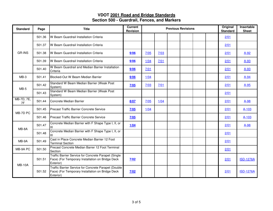| <b>Standard</b>  | Page   | <b>Title</b>                                                                                                          | <b>Current</b><br><b>Revision</b> |        |      | <b>Previous Revisions</b> | Original<br><b>Standard</b> | Insertable<br><b>Sheet</b> |      |                  |
|------------------|--------|-----------------------------------------------------------------------------------------------------------------------|-----------------------------------|--------|------|---------------------------|-----------------------------|----------------------------|------|------------------|
|                  | 501.36 | W Beam Guardrail Installation Criteria                                                                                |                                   |        |      |                           |                             |                            | 2/01 |                  |
| <b>GR-INS</b>    | 501.37 | W Beam Guardrail Installation Criteria                                                                                |                                   |        |      |                           |                             |                            | 2/01 |                  |
|                  | 501.38 | IW Beam Guardrail Installation Criteria                                                                               | 9/06                              | 7/05   | 7/03 |                           |                             |                            | 2/01 | $A-92$           |
|                  | 501.39 | W Beam Guardrail Installation Criteria                                                                                | 9/06                              | $1/04$ | 7/01 |                           |                             |                            | 2/01 | $A-93$           |
|                  | 501.40 | W Beam Guardrail and Median Barrier Installation<br>Criteria                                                          | 9/06                              | 7/01   |      |                           |                             |                            | 2/01 | $A-93$           |
| $MB-3$           | 501.41 | Blocked-Out W Beam Median Barrier                                                                                     | 9/06                              | $1/04$ |      |                           |                             |                            | 2/01 | $A-94$           |
|                  | 501.42 | Standard W Beam Median Barrier (Weak Post<br>System)                                                                  | 7/05                              | 7/03   | 7/01 |                           |                             |                            | 2/01 | $A-95$           |
| $MB-5$           | 501.43 | Standard W Beam Median Barrier (Weak Post<br>System)                                                                  |                                   |        |      |                           |                             |                            | 2/01 |                  |
| MB-7D, 7E,<br>7F | 501.44 | Concrete Median Barrier                                                                                               | 8/07                              | 7/05   | 1/04 |                           |                             |                            | 2/01 | $A-98$           |
| MB-7D PC         | 501.45 | <b>Precast Traffic Barrier Concrete Service</b>                                                                       | 7/05                              | 1/04   |      |                           |                             |                            | 2/01 | $A-103$          |
|                  | 501.46 | <b>Precast Traffic Barrier Concrete Service</b>                                                                       | 7/05                              |        |      |                           |                             |                            | 2/01 | $A-103$          |
| MB-8A            | 501.47 | Concrete Median Barrier with F Shape Type I, II, or<br>Ш                                                              | 1/04                              |        |      |                           |                             |                            | 2/01 | $A-98$           |
|                  | 501.48 | Concrete Median Barrier with F Shape Type I, II, or<br>Ш                                                              |                                   |        |      |                           |                             |                            | 2/01 |                  |
| MB-9A            | 501.49 | Cast in Place Concrete Median Barrier 12 Foot<br><b>Terminal Section</b>                                              |                                   |        |      |                           |                             |                            | 2/01 |                  |
| MB-9A PC         | 501.50 | Precast Concrete Median Barrer 12 Foot Terminal<br>Section                                                            |                                   |        |      |                           |                             |                            | 2/01 |                  |
| <b>MB-10A</b>    | 501.51 | Traffic Barrier Service for Concrete Parapet (Single<br>Face) (For Temporary Installation on Bridge Deck<br>Exterior) | 7/02                              |        |      |                           |                             |                            | 2/01 | <b>ISD-1276A</b> |
|                  | 501.52 | Traffic Barrier Service for Concrete Parapet (Double<br>Face) (For Temporary Installation on Bridge Deck<br>Exterior) | 7/02                              |        |      |                           |                             |                            | 2/01 | <b>ISD-1276A</b> |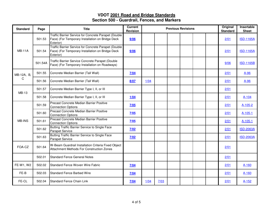| <b>Standard</b> | Page    | <b>Title</b>                                                                                                          | <b>Current</b><br><b>Revision</b> |      | <b>Previous Revisions</b> | Original<br><b>Standard</b> | Insertable<br><b>Sheet</b> |      |                  |
|-----------------|---------|-----------------------------------------------------------------------------------------------------------------------|-----------------------------------|------|---------------------------|-----------------------------|----------------------------|------|------------------|
|                 | 501.53  | Traffic Barrier Service for Concrete Parapet (Double<br>Face) (For Temporary Installation on Bridge Deck<br>Exterior) | 9/06                              |      |                           |                             |                            | 2/01 | <b>ISD-1165A</b> |
| <b>MB-11A</b>   | 501.54  | Traffic Barrier Service for Concrete Parapet (Double<br>Face) (For Temporary Installation on Bridge Deck<br>Exterior) | 9/06                              |      |                           |                             |                            | 2/01 | <b>ISD-1165A</b> |
|                 | 501.54A | Traffic Barrier Service Concrete Parapet (Double<br>Face) (For Temporary Installation on Roadways)                    |                                   |      |                           |                             |                            | 9/06 | <b>ISD-1165B</b> |
| MB-12A, B,      | 501.55  | Concrete Median Barrier (Tall Wall)                                                                                   | 7/04                              |      |                           |                             |                            | 2/01 | $A-96$           |
| C               | 501.56  | Concrete Median Barrier (Tall Wall)                                                                                   | 8/07                              | 1/04 |                           |                             |                            | 2/01 | $A-96$           |
| MB-13           | 501.57  | Concrete Median Barrier Type I, II, or III                                                                            |                                   |      |                           |                             |                            | 2/01 |                  |
|                 | 501.58  | Concrete Median Barrier Type I, II, or III                                                                            | 1/04                              |      |                           |                             |                            | 2/01 | A-104            |
|                 | 501.59  | Precast Concrete Median Barrier Positive<br><b>Connection Options</b>                                                 | 7/05                              |      |                           |                             |                            | 2/01 | A-105-2          |
|                 | 501.60  | Precast Concrete Median Barrier Positive<br><b>Connection Options</b>                                                 | 7/05                              |      |                           |                             |                            | 2/01 | $A-105-1$        |
| <b>MB-INS</b>   | 501.61  | Precast Concrete Median Barrier Positive<br><b>Connection Options</b>                                                 | 7/05                              |      |                           |                             |                            | 2/01 | $A-105-1$        |
|                 | 501.62  | Butting Traffic Barrier Service to Single Face<br><b>Parapet Service</b>                                              | 7/02                              |      |                           |                             |                            | 2/01 | <b>ISD-2063A</b> |
|                 | 501.63  | Butting Traffic Barrier Service to Single Face<br><b>Parapet Service</b>                                              | 7/02                              |      |                           |                             |                            | 2/01 | <b>ISD-2063A</b> |
| FOA-CZ          | 501.64  | W-Beam Guardrail Installation Criteria Fixed Object<br>Attachment Methods For Construction Zones                      |                                   |      |                           |                             |                            | 2/01 |                  |
|                 | 502.01  | <b>Standard Fence General Notes</b>                                                                                   |                                   |      |                           |                             |                            | 2/01 |                  |
| FE-W1, W2       | 502.02  | Standard Fence Woven Wire Fabric                                                                                      | 7/04                              |      |                           |                             |                            | 2/01 | A-160            |
| FE-B            | 502.03  | <b>Standard Fence Barbed Wire</b>                                                                                     | 7/04                              |      |                           |                             |                            | 2/01 | A-160            |
| FE-CL           | 502.04  | Standard Fence Chain Link                                                                                             | 7/04                              | 1/04 | 7/03                      |                             |                            | 2/01 | $A-152$          |